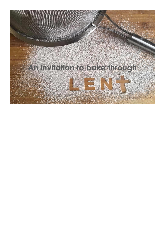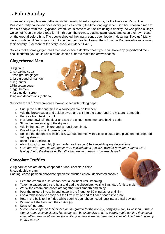### **1. Palm Sunday**

Thousands of people were gathering in Jerusalem, Israel's capital city, for the Passover Party. The Passover Party happened once every year, celebrating the time long ago when God had chosen a man to free his people from the Egyptians. When Jesus came to Jerusalem riding a donkey, he was given a king's welcome! People made a road for him through the crowds, placing palm leaves and even their own coats on the ground before him. The people shouted their party songs even louder: "Hosanna! Save us!" Many were wondering if Jesus was going to be their new leader, freeing them from the Romans who were ruling their country. (For more of the story, check out Mark 11:4-10)

So let's make some gingerbread men and/or some donkey poo! If you don't have any gingerbread men cookie cutters, you could use a round cookie cutter to make the crowd's faces.

### **Gingerbread Men**

350g flour 1 tsp baking soda 1 tbsp ground ginger 1 tbsp ground cinnamon 100 g butter 175g brown sugar 1 egg, beaten 4 tbsp golden syrup Icing and decorations (optional)



Set oven to 180°C and prepare a baking sheet with baking paper.

- $\circ$  Cut up the butter and melt in a saucepan over a low heat.
- o Add the brown sugar and golden syrup and stir into the butter until the mixture is smooth.
- o Remove from heat to cool.
- o In a large bowl, sift the flour and add the ginger, cinnamon and baking soda.
- $\circ$  Stir in the beaten egg to the dry mix.
- o Add in the buttery mixture and stir until combined.
- o Knead it gently until it forms a dough.
- $\circ$  Roll out the dough to  $\frac{1}{4}$  inch thick. Cut out the men with a cookie cutter and place on the prepared baking sheets.
- o Bake for 8-12 minutes.
- o Allow to cool thoroughly (they harden as they cool) before adding any decorations.
- o *I wonder why some of the people were excited about Jesus? I wonder how the Romans were feeling during the Passover Party? What are your feelings towards Jesus?*

### **Chocolate Truffles**

200g dark chocolate (finely chopped) or dark chocolate chips ½ cup double cream Coating: cocoa powder/ chocolate sprinkles/ crushed cereal/ desiccated coconut

- o Heat the cream in a saucepan over a low heat until steaming.
- $\circ$  Take the saucepan off the heat and add the chocolate, waiting 5 minutes for it to melt.
- o Whisk the cream and chocolate together until smooth and shiny.
- $\circ$  Pour the mixture into a tin and leave in the fridge for 30 minutes, or until firm.
- $\circ$  Use a tablespoon to scoop out the firm mixture and roll each scoop into a ball.
- o Return the balls to the fridge while pouring your chosen coating(s) into a small bowl(s).
- $\circ$  Dip and roll the balls into the coating(s).
- o Keep refrigerated.
- o *Some people spread their cloaks on the ground for the donkey, carrying Jesus, to walk on. It was a sign of respect since cloaks, like coats, can be expensive and the people might not find their cloak again afterwards in all the busyness. Do you have a special item that you would find hard to give up or give away?*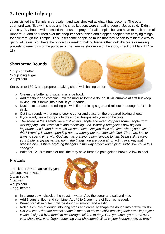# **2. Temple Tidy-up**

Jesus visited the Temple in Jerusalem and was shocked at what it had become. The outer courtyard was filled with shops and the shop keepers were cheating people. Jesus said, "Didn't God say, 'My house will be called the house of prayer for all people,' but you have made it a den of robbers"?! And he turned over the shop-keeper's tables and stopped people from carrying things for sale through the Temple. This upset some people so much that they began to think of a way to get rid of Jesus. You have the option this week of baking biscuits that look like coins or making pretzels to remind us of the purpose of the Temple. (For more of the story, check out Mark 11:15- 18)

### **Shortbread Rounds**

1 cup soft butter ½ cup icing sugar 2 cups flour

Set oven to 180°C and prepare a baking sheet with baking paper.

- o Cream the butter and sugar in a large bowl.
- $\circ$  Add the flour and combine until the mixture forms a dough. It will crumble at first but keep mixing until it forms into a ball in your hands.
- $\circ$  Dust a flat surface and rolling pin with flour or icing sugar and roll out the dough to  $\frac{1}{4}$  inch thick.
- o Cut into rounds with a round cookie cutter and place on the prepared baking sheets.
- $\circ$  If you want, use a toothpick to draw coin designs into your soft biscuits.
- o *The shops in the Temple were distracting people and even stopping some people from worshipping God. Worship is about noticing God. Worship recognises how big and important God is and how much we need him. Can you think of a time when you noticed this? Worship is about spending not our money but our time with God. There are lots of ways to spend time with God such as praying to him, singing to him, being still, reading your Bible, enjoying nature, doing the things you are good at, or acting in a way that pleases him. Is there anything that gets in the way of you worshiping God? How could this change?*
- o Bake for 12-18 minutes or until the they have turned a pale golden brown. Allow to cool.

#### **Pretzels**

- 1 packet or 2½ tsp active dry yeast
- 1½ cups warm water
- 1 tbsp sugar
- 1 tsp salt
- 4 cups flour
- 1 egg, beaten
- 
- o In a large bowl, dissolve the yeast in water. Add the sugar and salt and mix.
- $\circ$  Add 3 cups of flour and combine. Add  $\frac{1}{2}$  to 1 cup more of flour as needed.
- o Knead for 5-8 minutes until the dough is smooth and elastic.
- o Roll out chunks of dough into long strips and carefully shape the dough into pretzel twists.
- o *Did you know that the pretzel shape is meant to show a child crossing their arms in prayer? It was designed by a monk to encourage children to pray. Can you cross your arms over your chest with your fingers touching your shoulders? What is your favourite way to pray?*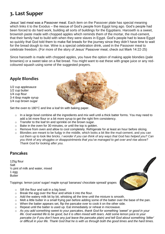# **3. Last Supper**

Jesus' last meal was a Passover meal. Each item on the Passover plate has special meaning which links it to the Exodus – the rescue of God's people from Egypt long ago. God's people had been forced to do hard work, building all sorts of buildings for the Egyptians. Haroseth is a sweet, brownish paste made with chopped apples which reminds them of the mortar, the mud-cement, that their family had to build with when they were slaves in Egypt. God's people had to leave Egypt so quickly that God told them to make flat breads for the journey since they didn't have time to wait for the bread dough to rise. Wine is a special celebration drink, used in the Passover meal to celebrate freedom. (For more of the story of Jesus' Passover meal, check out Mark 14:22-25)

Since haroseth is made with chopped apples, you have the option of making apple blondies (pale brownies) or a sweet take on a flat bread. You might want to eat these with grape juice or any redcoloured squash using some of the suggested prayers.

### **Apple Blondies**

1/2 cup applesauce 1/2 cup butter 1/4 cup flour 3-4 tbsp maple syrup 1/4 cup brown sugar

Set the oven to 180°C and line a loaf tin with baking paper.

- o In a large bowl combine all the ingredients and mix well until a thick batter forms. You may need to add a bit more flour or a bit more syrup to get the right firm consistency.
- o Transfer to the loaf tin and sprinkle on the brown sugar.
- o Bake in the oven for 30 minutes, or until the top is golden.
- o Remove from oven and allow to cool completely. Refrigerate for at least an hour before slicing.
- o Blondies are meant to be fudgy in the middle, which looks a bit like the mud-cement, and you can cut them up to look like bricks. *I wonder if you can think of any ways that God has helped you? Can you think of any struggles or disappointments that you've managed to get over and rise above? Thank God for looking after you.*

#### **Pancakes**

125g flour Salt ½ pint of milk and water, mixed 1 egg **Butter** 

Toppings: lemon juice/ sugar/ maple syrup/ bananas/ chocolate spread/ grapes



- $\circ$  Sift the flour and salt in a big bowl.
- o Break the egg over the flour and whisk it into the flour.
- $\circ$  Add the watery milk bit by bit, whisking all the time until the mixture is smooth.
- $\circ$  Melt a little butter in a small frying pan before adding some of the batter over the base of the pan.
- $\circ$  When the batter appears set, flip the pancake over to cook it on the other side.
- o Repeat until the batter is used up. Eat immediately or reheat in microwave.
- o *As you add something sweet to your pancakes, thank God for something 'sweet' or good in your life. God wanted life to be good, but it is often mixed with tears. Add some lemon juice to your pancake (or if you don't have any just leave the pancake plain) and tell God about something 'bitter' or difficult in your life. Thank God that he is with us through both the good times and the hard times.*

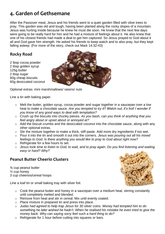# **4. Garden of Gethsemane**

After the Passover meal, Jesus and his friends went to a quiet garden filled with olive trees to pray. This garden was old and tough, having been planted along the rocky slopes of a mountain. Jesus was hurting inside because he knew he must die soon. He knew that the next few days were going to be really hard for him and he had a mixture of feelings about it. He also knew that one of his closest friends had made a deal to get him captured. So Jesus prayed to God about it all and God gave him strength. He asked his friends to keep watch and to also pray, but they kept falling asleep. (For more of the story, check out Mark 14:32-43)

### **Rocky Road**

2 tbsp cocoa powder 2 tbsp golden syrup 125g butter 2 tbsp sugar 60g cheap biscuits 60g desiccated coconut



Optional extras: mini marshmallows/ raisins/ nuts

Line a tin with baking paper.

- o Melt the butter, golden syrup, cocoa powder and sugar together in a saucepan over a low heat to make a chocolate sauce. *Are you tempted to try it? Watch out, it's hot! I wonder if you know of any good ways to deal with temptation?*
- o Crush up the biscuits into chunky pieces. *As you bash, can you think of anything that you feel angry about or upset about or annoyed at?*
- o Add the biscuit crumbs and the desiccated coconut into the chocolate sauce, along with any other optional extras.
- o Stir the mixture together to make a thick, stiff paste. Add more dry ingredients if too wet.
- o Pour it into the tin and smooth it out into the corners. *Jesus was pouring out all his mixed feelings to God. Is there anything you would like to pray to God about right now?*
- o Refrigerate for a few hours to set.
- o *Jesus took time to listen to God, to wait, and to pray again. Do you find listening and waiting easy or hard? Why?*

#### **Peanut Butter Cheerio Clusters**

¾ cup peanut butter ½ cup honey 3 cup cheerios/cereal hoops



Line a loaf tin or small baking tray with silver foil.

- $\circ$  Cook the peanut butter and honey in a saucepan over a medium heat, stirring constantly until completely melted and blended.
- o Remove from heat and stir in cereal. Mix until evenly coated.
- o Place mixture in prepared tin and press into place.
- o *Judas had agreed to help trap Jesus for 30 silver coins. Money had tempted him to do something he later wished he hadn't. When he realised his mistake he even tried to give the money back. Why can saying sorry feel such a hard thing to do?*
- o Refrigerate for 1 hour before cutting into squares or bars.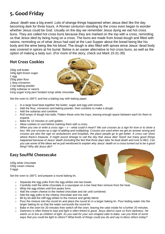# **5. Good Friday**

Jesus' death was a big event. Lots of strange things happened when Jesus died like the day becoming dark for three hours. A Roman centurion standing by the cross even began to wonder whether Jesus could be God. Usually on the day we remember Jesus dying we eat hot cross buns. They are called hot cross buns because they are marked on the top with a cross, reminding us that Jesus died by being hung on a cross. The buns are made from bread dough and filled with raisins, reminding us of what Jesus had said at the Last Supper about the bread being like his body and the wine being like his blood. The dough is also filled with spices since Jesus' dead body was covered in spices at his burial. Below is an easier alternative to hot cross buns, as well as the option of making a tasty sun. (For more of the story, check out Mark 15:31-39)

### **Hot Cross Cookies**

200g soft butter 100g light brown sugar 1 egg 250g plain flour 1 tbsp cinnamon 2 tsp baking powder 100g sultanas or raisins Icing sugar/ icing pen/ fondant icing/ white chocolate

Set the oven to 180°C and line a baking tray with baking paper.

- o In a large bowl beat together the butter, sugar and egg until smooth.
- $\circ$  Add the flour, cinnamon and baking powder, then combine to make a dough.
- o Add the sultanas and combine.
- $\circ$  Roll lumps of dough into balls. Flatten these onto the trays, leaving enough space between each for them to expand.
- o Bake for 10 minutes or until golden.
- o Allow cookies to cool before marking them with a cross.
- o *When you see or write a cross sign – x – what could it mean? We use crosses as a sign for love or to show a kiss. We use crosses as a sign of adding and multiplying. Crosses are used when we get an answer wrong and crosses are also the sign on ambulances and hospitals, the place people go to get better. A cross can show where there's treasure. It might sound strange to call the day that Jesus died 'Good' but many good things happened because of Jesus' death (including the fact that three days later he beat death and rose to life!). Can you use some of the ideas we've just mentioned to explain why Jesus' death on a cross turned out to be a good thing? Why did Jesus die?*

### **Easy Soufflé Cheesecake**

100g white chocolate 100g cream cheese 3 eggs

Set the oven to 180°C and prepare a round baking tin.

- o Separate the egg yolks from the egg whites into two bowls.
- $\circ$  Carefully melt the white chocolate in a saucepan on a low heat then remove from the heat.
- o Whip the egg whites until firm peaks form.
- o Add the cream cheese to the melted chocolate and stir until combined.
- o Add the egg yolks to the cheesy chocolate and mix well.
- o Bit by bit add the stiff egg whites to the mixture and gently blend.
- $\circ$  Pour the mixture into the round tin and place the round tin in a larger baking tin. Pour boiling water into the larger baking tin so that the water surrounds the round tin.
- $\circ$  Bake in the oven for 20 minutes then switch off the oven, leaving the cake inside for a further 20 minutes.
- o *Darkness is often linked to bad and light is often linked to good. Jesus died to save us from darkness. He wants us to live as children of light. As you wait for your sun-shaped cake to bake, can you think of some ways that you could be light to others? What kinds of things could you do and say to bless others today?*